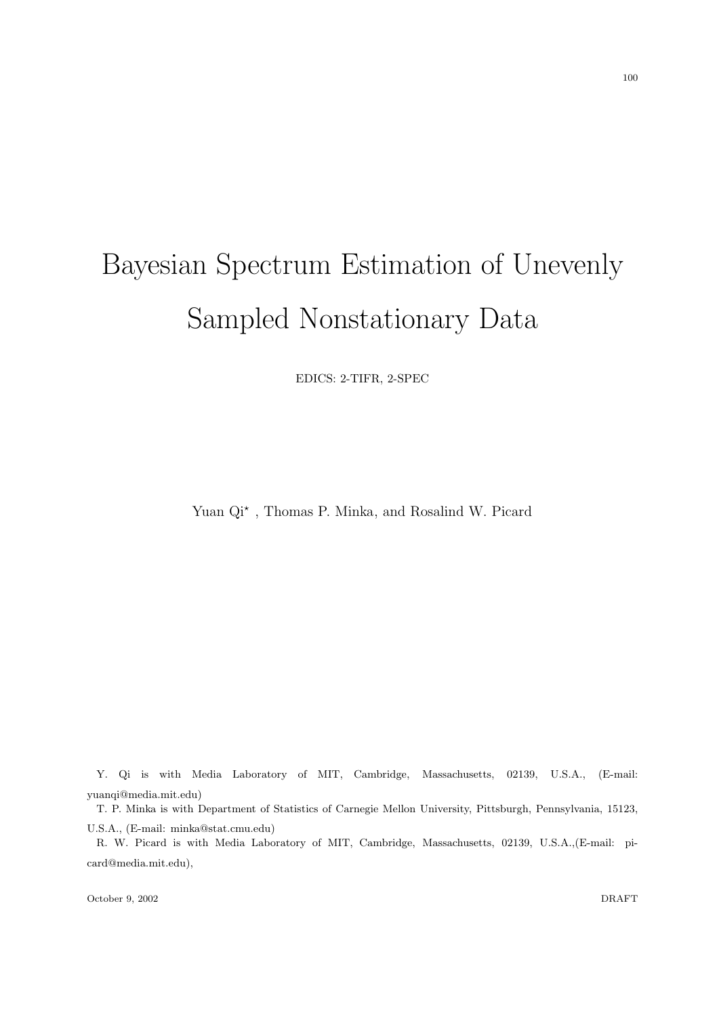# Bayesian Spectrum Estimation of Unevenly Sampled Nonstationary Data

EDICS: 2-TIFR, 2-SPEC

Yuan  $Qi^*$ , Thomas P. Minka, and Rosalind W. Picard

Y. Qi is with Media Laboratory of MIT, Cambridge, Massachusetts, 02139, U.S.A., (E-mail: yuanqi@media.mit.edu)

T. P. Minka is with Department of Statistics of Carnegie Mellon University, Pittsburgh, Pennsylvania, 15123, U.S.A., (E-mail: minka@stat.cmu.edu)

R. W. Picard is with Media Laboratory of MIT, Cambridge, Massachusetts, 02139, U.S.A.,(E-mail: picard@media.mit.edu),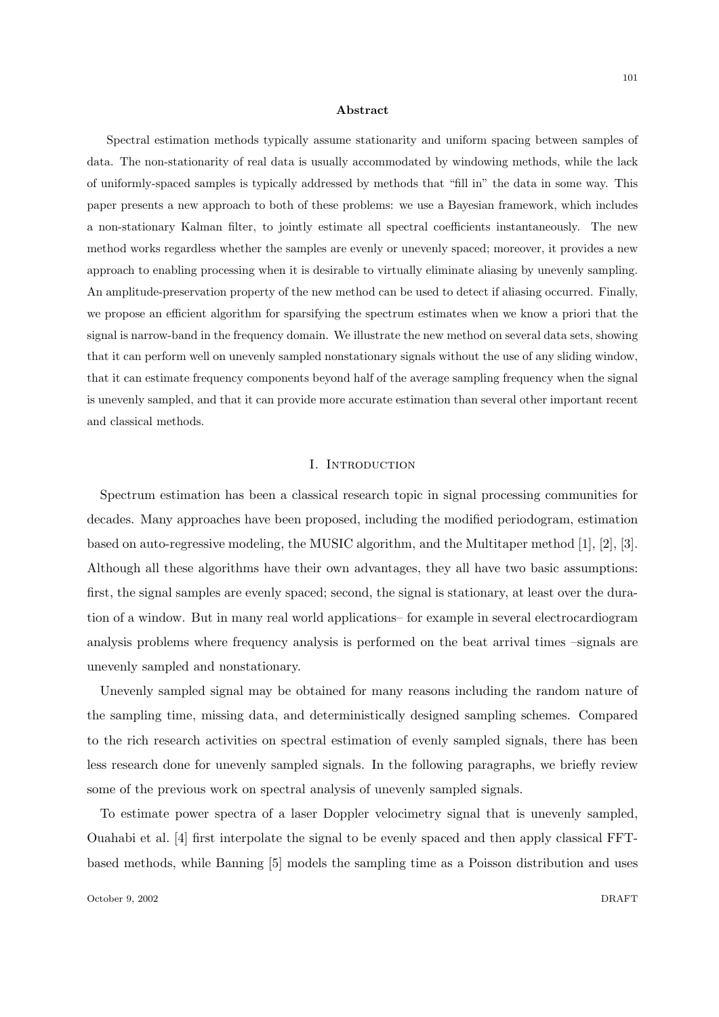#### Abstract

Spectral estimation methods typically assume stationarity and uniform spacing between samples of data. The non-stationarity of real data is usually accommodated by windowing methods, while the lack of uniformly-spaced samples is typically addressed by methods that "fill in" the data in some way. This paper presents a new approach to both of these problems: we use a Bayesian framework, which includes a non-stationary Kalman filter, to jointly estimate all spectral coefficients instantaneously. The new method works regardless whether the samples are evenly or unevenly spaced; moreover, it provides a new approach to enabling processing when it is desirable to virtually eliminate aliasing by unevenly sampling. An amplitude-preservation property of the new method can be used to detect if aliasing occurred. Finally, we propose an efficient algorithm for sparsifying the spectrum estimates when we know a priori that the signal is narrow-band in the frequency domain. We illustrate the new method on several data sets, showing that it can perform well on unevenly sampled nonstationary signals without the use of any sliding window, that it can estimate frequency components beyond half of the average sampling frequency when the signal is unevenly sampled, and that it can provide more accurate estimation than several other important recent and classical methods.

#### I. INTRODUCTION

Spectrum estimation has been a classical research topic in signal processing communities for decades. Many approaches have been proposed, including the modified periodogram, estimation based on auto-regressive modeling, the MUSIC algorithm, and the Multitaper method [1], [2], [3]. Although all these algorithms have their own advantages, they all have two basic assumptions: first, the signal samples are evenly spaced; second, the signal is stationary, at least over the duration of a window. But in many real world applications– for example in several electrocardiogram analysis problems where frequency analysis is performed on the beat arrival times –signals are unevenly sampled and nonstationary.

Unevenly sampled signal may be obtained for many reasons including the random nature of the sampling time, missing data, and deterministically designed sampling schemes. Compared to the rich research activities on spectral estimation of evenly sampled signals, there has been less research done for unevenly sampled signals. In the following paragraphs, we briefly review some of the previous work on spectral analysis of unevenly sampled signals.

To estimate power spectra of a laser Doppler velocimetry signal that is unevenly sampled, Ouahabi et al. [4] first interpolate the signal to be evenly spaced and then apply classical FFTbased methods, while Banning [5] models the sampling time as a Poisson distribution and uses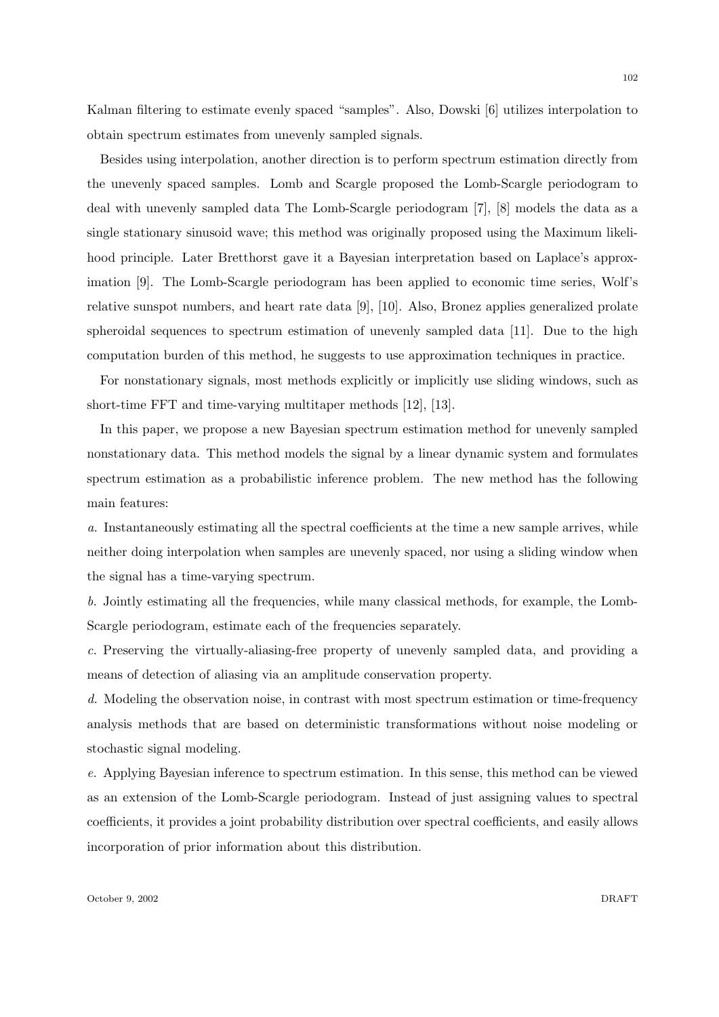Kalman filtering to estimate evenly spaced "samples". Also, Dowski [6] utilizes interpolation to obtain spectrum estimates from unevenly sampled signals.

Besides using interpolation, another direction is to perform spectrum estimation directly from the unevenly spaced samples. Lomb and Scargle proposed the Lomb-Scargle periodogram to deal with unevenly sampled data The Lomb-Scargle periodogram [7], [8] models the data as a single stationary sinusoid wave; this method was originally proposed using the Maximum likelihood principle. Later Bretthorst gave it a Bayesian interpretation based on Laplace's approximation [9]. The Lomb-Scargle periodogram has been applied to economic time series, Wolf's relative sunspot numbers, and heart rate data [9], [10]. Also, Bronez applies generalized prolate spheroidal sequences to spectrum estimation of unevenly sampled data [11]. Due to the high computation burden of this method, he suggests to use approximation techniques in practice.

For nonstationary signals, most methods explicitly or implicitly use sliding windows, such as short-time FFT and time-varying multitaper methods [12], [13].

In this paper, we propose a new Bayesian spectrum estimation method for unevenly sampled nonstationary data. This method models the signal by a linear dynamic system and formulates spectrum estimation as a probabilistic inference problem. The new method has the following main features:

a. Instantaneously estimating all the spectral coefficients at the time a new sample arrives, while neither doing interpolation when samples are unevenly spaced, nor using a sliding window when the signal has a time-varying spectrum.

b. Jointly estimating all the frequencies, while many classical methods, for example, the Lomb-Scargle periodogram, estimate each of the frequencies separately.

c. Preserving the virtually-aliasing-free property of unevenly sampled data, and providing a means of detection of aliasing via an amplitude conservation property.

d. Modeling the observation noise, in contrast with most spectrum estimation or time-frequency analysis methods that are based on deterministic transformations without noise modeling or stochastic signal modeling.

e. Applying Bayesian inference to spectrum estimation. In this sense, this method can be viewed as an extension of the Lomb-Scargle periodogram. Instead of just assigning values to spectral coefficients, it provides a joint probability distribution over spectral coefficients, and easily allows incorporation of prior information about this distribution.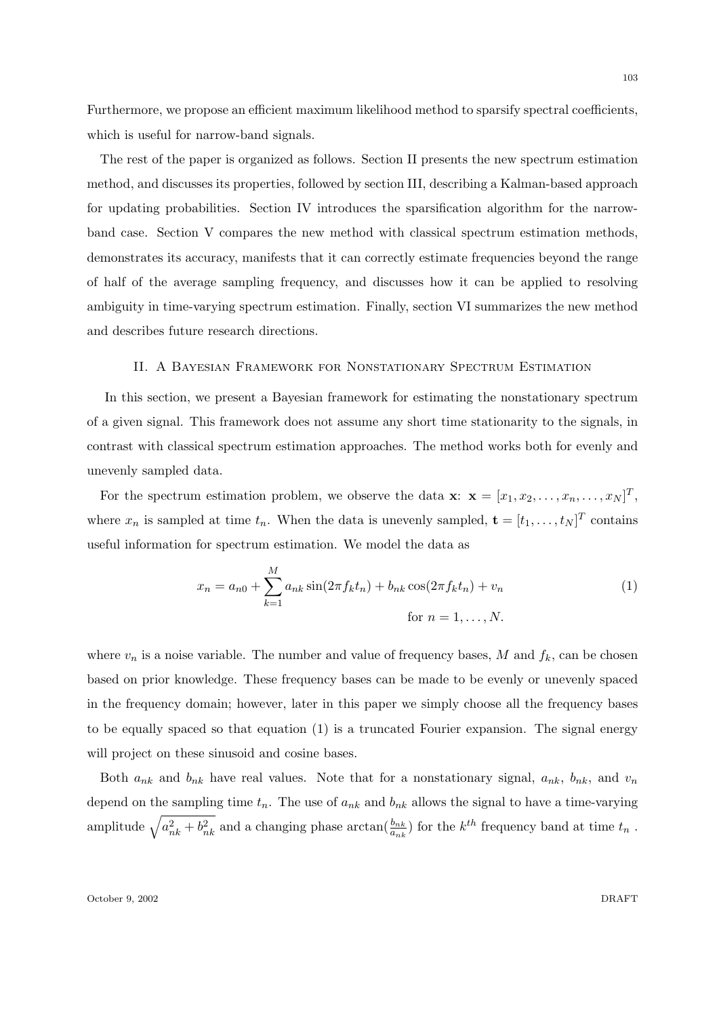Furthermore, we propose an efficient maximum likelihood method to sparsify spectral coefficients, which is useful for narrow-band signals.

The rest of the paper is organized as follows. Section II presents the new spectrum estimation method, and discusses its properties, followed by section III, describing a Kalman-based approach for updating probabilities. Section IV introduces the sparsification algorithm for the narrowband case. Section V compares the new method with classical spectrum estimation methods, demonstrates its accuracy, manifests that it can correctly estimate frequencies beyond the range of half of the average sampling frequency, and discusses how it can be applied to resolving ambiguity in time-varying spectrum estimation. Finally, section VI summarizes the new method and describes future research directions.

## II. A Bayesian Framework for Nonstationary Spectrum Estimation

In this section, we present a Bayesian framework for estimating the nonstationary spectrum of a given signal. This framework does not assume any short time stationarity to the signals, in contrast with classical spectrum estimation approaches. The method works both for evenly and unevenly sampled data.

For the spectrum estimation problem, we observe the data  $\mathbf{x}: \mathbf{x} = [x_1, x_2, \dots, x_n, \dots, x_N]^T$ , where  $x_n$  is sampled at time  $t_n$ . When the data is unevenly sampled,  $\mathbf{t} = [t_1, \ldots, t_N]^T$  contains useful information for spectrum estimation. We model the data as

$$
x_n = a_{n0} + \sum_{k=1}^{M} a_{nk} \sin(2\pi f_k t_n) + b_{nk} \cos(2\pi f_k t_n) + v_n
$$
  
for  $n = 1, ..., N$ . (1)

where  $v_n$  is a noise variable. The number and value of frequency bases, M and  $f_k$ , can be chosen based on prior knowledge. These frequency bases can be made to be evenly or unevenly spaced in the frequency domain; however, later in this paper we simply choose all the frequency bases to be equally spaced so that equation (1) is a truncated Fourier expansion. The signal energy will project on these sinusoid and cosine bases.

Both  $a_{nk}$  and  $b_{nk}$  have real values. Note that for a nonstationary signal,  $a_{nk}$ ,  $b_{nk}$ , and  $v_n$ depend on the sampling time  $t_n$ . The use of  $a_{nk}$  and  $b_{nk}$  allows the signal to have a time-varying amplitude  $\sqrt{a_{nk}^2 + b_{nk}^2}$  and a changing phase  $\arctan(\frac{b_{nk}}{a_{nk}})$  for the  $k^{th}$  frequency band at time  $t_n$ .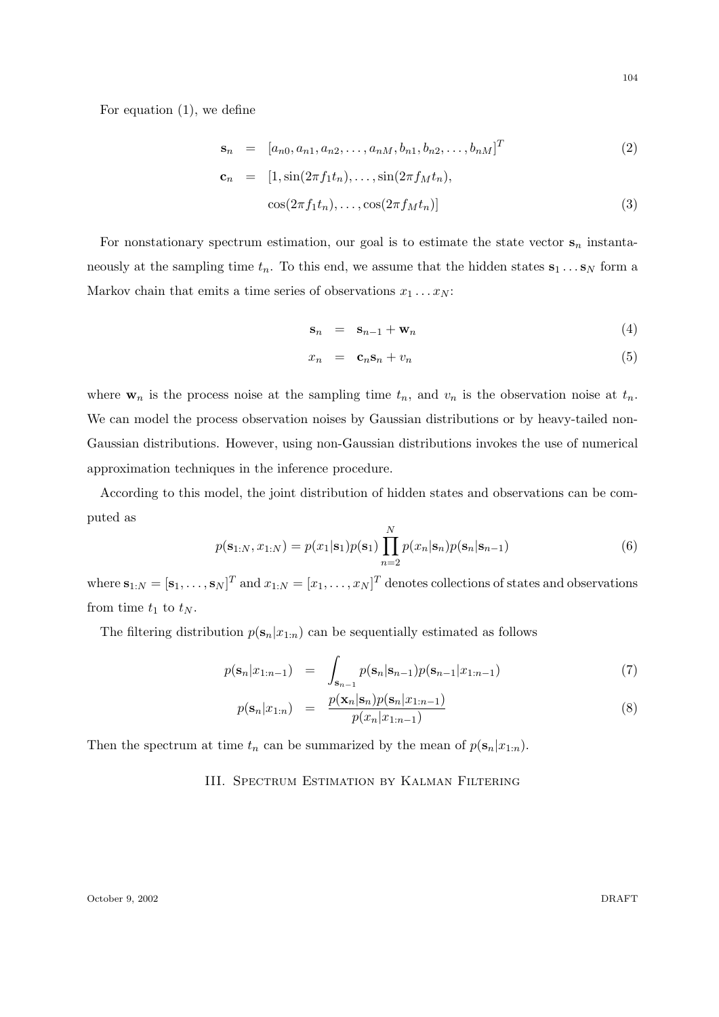For equation (1), we define

$$
\mathbf{s}_n = [a_{n0}, a_{n1}, a_{n2}, \dots, a_{nM}, b_{n1}, b_{n2}, \dots, b_{nM}]^T
$$
 (2)

$$
\mathbf{c}_n = [1, \sin(2\pi f_1 t_n), \dots, \sin(2\pi f_M t_n),
$$
  

$$
\cos(2\pi f_1 t_n), \dots, \cos(2\pi f_M t_n)]
$$
 (3)

For nonstationary spectrum estimation, our goal is to estimate the state vector  $s_n$  instantaneously at the sampling time  $t_n$ . To this end, we assume that the hidden states  $s_1 \dots s_N$  form a Markov chain that emits a time series of observations  $x_1 \ldots x_N$ :

$$
\mathbf{s}_n = \mathbf{s}_{n-1} + \mathbf{w}_n \tag{4}
$$

$$
x_n = \mathbf{c}_n \mathbf{s}_n + v_n \tag{5}
$$

where  $\mathbf{w}_n$  is the process noise at the sampling time  $t_n$ , and  $v_n$  is the observation noise at  $t_n$ . We can model the process observation noises by Gaussian distributions or by heavy-tailed non-Gaussian distributions. However, using non-Gaussian distributions invokes the use of numerical approximation techniques in the inference procedure.

According to this model, the joint distribution of hidden states and observations can be computed as

$$
p(\mathbf{s}_{1:N}, x_{1:N}) = p(x_1|\mathbf{s}_1)p(\mathbf{s}_1) \prod_{n=2}^{N} p(x_n|\mathbf{s}_n)p(\mathbf{s}_n|\mathbf{s}_{n-1})
$$
\n(6)

where  $\mathbf{s}_{1:N} = [\mathbf{s}_1,\ldots,\mathbf{s}_N]^T$  and  $x_{1:N} = [x_1,\ldots,x_N]^T$  denotes collections of states and observations from time  $t_1$  to  $t_N$ .

The filtering distribution  $p(\mathbf{s}_n|x_{1:n})$  can be sequentially estimated as follows

$$
p(\mathbf{s}_n | x_{1:n-1}) = \int_{\mathbf{s}_{n-1}} p(\mathbf{s}_n | \mathbf{s}_{n-1}) p(\mathbf{s}_{n-1} | x_{1:n-1})
$$
(7)

$$
p(\mathbf{s}_n|x_{1:n}) = \frac{p(\mathbf{x}_n|\mathbf{s}_n)p(\mathbf{s}_n|x_{1:n-1})}{p(x_n|x_{1:n-1})}
$$
(8)

Then the spectrum at time  $t_n$  can be summarized by the mean of  $p(\mathbf{s}_n|x_{1:n})$ .

## III. Spectrum Estimation by Kalman Filtering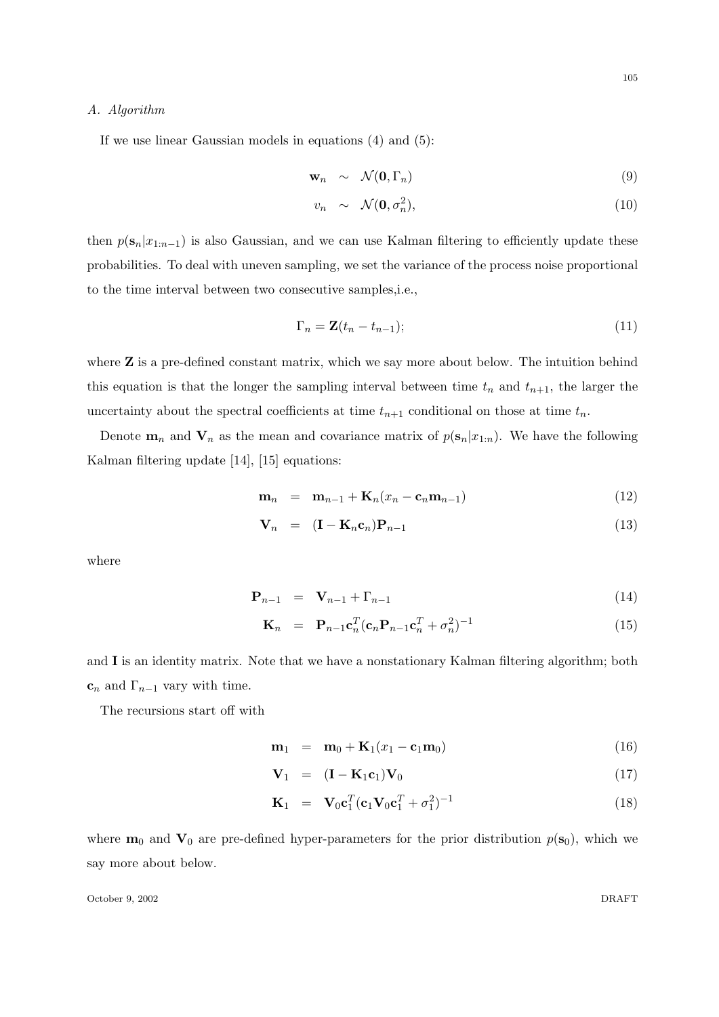## A. Algorithm

If we use linear Gaussian models in equations (4) and (5):

$$
\mathbf{w}_n \sim \mathcal{N}(\mathbf{0}, \Gamma_n) \tag{9}
$$

$$
v_n \sim \mathcal{N}(\mathbf{0}, \sigma_n^2), \tag{10}
$$

then  $p(\mathbf{s}_n|x_{1:n-1})$  is also Gaussian, and we can use Kalman filtering to efficiently update these probabilities. To deal with uneven sampling, we set the variance of the process noise proportional to the time interval between two consecutive samples,i.e.,

$$
\Gamma_n = \mathbf{Z}(t_n - t_{n-1});\tag{11}
$$

where **Z** is a pre-defined constant matrix, which we say more about below. The intuition behind this equation is that the longer the sampling interval between time  $t_n$  and  $t_{n+1}$ , the larger the uncertainty about the spectral coefficients at time  $t_{n+1}$  conditional on those at time  $t_n$ .

Denote  $\mathbf{m}_n$  and  $\mathbf{V}_n$  as the mean and covariance matrix of  $p(\mathbf{s}_n|x_{1:n})$ . We have the following Kalman filtering update [14], [15] equations:

$$
\mathbf{m}_n = \mathbf{m}_{n-1} + \mathbf{K}_n (x_n - \mathbf{c}_n \mathbf{m}_{n-1}) \tag{12}
$$

$$
\mathbf{V}_n = (\mathbf{I} - \mathbf{K}_n \mathbf{c}_n) \mathbf{P}_{n-1} \tag{13}
$$

where

$$
\mathbf{P}_{n-1} = \mathbf{V}_{n-1} + \Gamma_{n-1} \tag{14}
$$

$$
\mathbf{K}_n = \mathbf{P}_{n-1} \mathbf{c}_n^T (\mathbf{c}_n \mathbf{P}_{n-1} \mathbf{c}_n^T + \sigma_n^2)^{-1} \tag{15}
$$

and I is an identity matrix. Note that we have a nonstationary Kalman filtering algorithm; both  $\mathbf{c}_n$  and  $\Gamma_{n-1}$  vary with time.

The recursions start off with

$$
\mathbf{m}_1 = \mathbf{m}_0 + \mathbf{K}_1(x_1 - \mathbf{c}_1 \mathbf{m}_0) \tag{16}
$$

$$
\mathbf{V}_1 = (\mathbf{I} - \mathbf{K}_1 \mathbf{c}_1) \mathbf{V}_0 \tag{17}
$$

$$
\mathbf{K}_1 = \mathbf{V}_0 \mathbf{c}_1^T (\mathbf{c}_1 \mathbf{V}_0 \mathbf{c}_1^T + \sigma_1^2)^{-1} \tag{18}
$$

where  $\mathbf{m}_0$  and  $\mathbf{V}_0$  are pre-defined hyper-parameters for the prior distribution  $p(\mathbf{s}_0)$ , which we say more about below.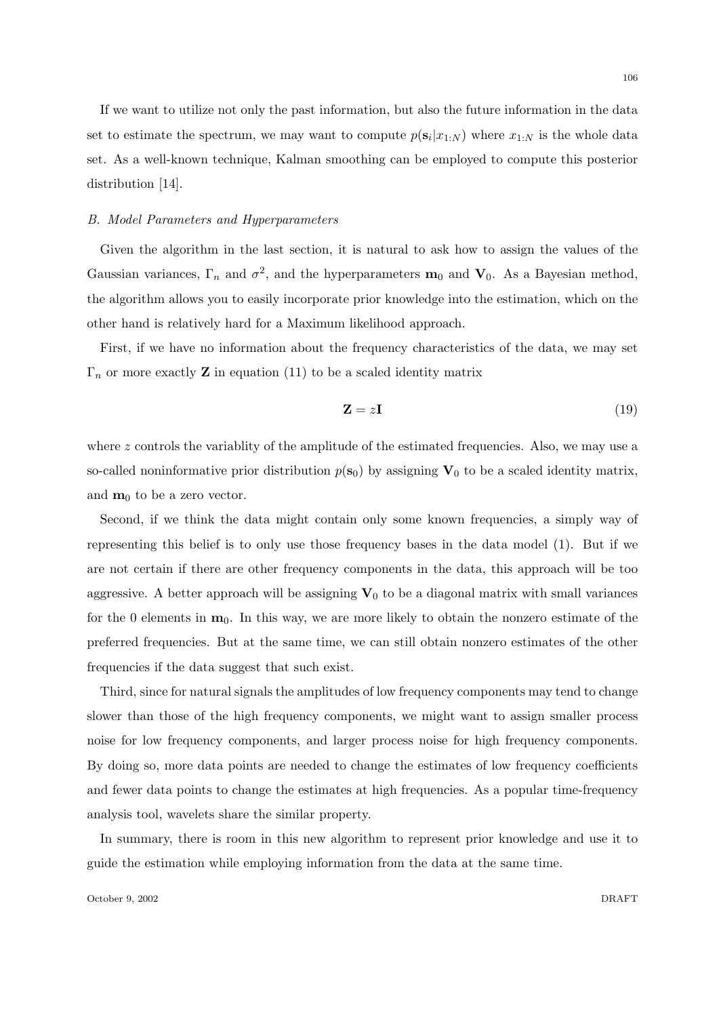If we want to utilize not only the past information, but also the future information in the data set to estimate the spectrum, we may want to compute  $p(\mathbf{s}_i|x_{1:N})$  where  $x_{1:N}$  is the whole data set. As a well-known technique, Kalman smoothing can be employed to compute this posterior distribution [14].

## B. Model Parameters and Hyperparameters

Given the algorithm in the last section, it is natural to ask how to assign the values of the Gaussian variances,  $\Gamma_n$  and  $\sigma^2$ , and the hyperparameters  $\mathbf{m}_0$  and  $\mathbf{V}_0$ . As a Bayesian method, the algorithm allows you to easily incorporate prior knowledge into the estimation, which on the other hand is relatively hard for a Maximum likelihood approach.

First, if we have no information about the frequency characteristics of the data, we may set  $\Gamma_n$  or more exactly **Z** in equation (11) to be a scaled identity matrix

$$
\mathbf{Z} = z\mathbf{I} \tag{19}
$$

where z controls the variablity of the amplitude of the estimated frequencies. Also, we may use a so-called noninformative prior distribution  $p(s_0)$  by assigning  $V_0$  to be a scaled identity matrix, and  $m_0$  to be a zero vector.

Second, if we think the data might contain only some known frequencies, a simply way of representing this belief is to only use those frequency bases in the data model (1). But if we are not certain if there are other frequency components in the data, this approach will be too aggressive. A better approach will be assigning  $V_0$  to be a diagonal matrix with small variances for the 0 elements in  $\mathbf{m}_0$ . In this way, we are more likely to obtain the nonzero estimate of the preferred frequencies. But at the same time, we can still obtain nonzero estimates of the other frequencies if the data suggest that such exist.

Third, since for natural signals the amplitudes of low frequency components may tend to change slower than those of the high frequency components, we might want to assign smaller process noise for low frequency components, and larger process noise for high frequency components. By doing so, more data points are needed to change the estimates of low frequency coefficients and fewer data points to change the estimates at high frequencies. As a popular time-frequency analysis tool, wavelets share the similar property.

In summary, there is room in this new algorithm to represent prior knowledge and use it to guide the estimation while employing information from the data at the same time.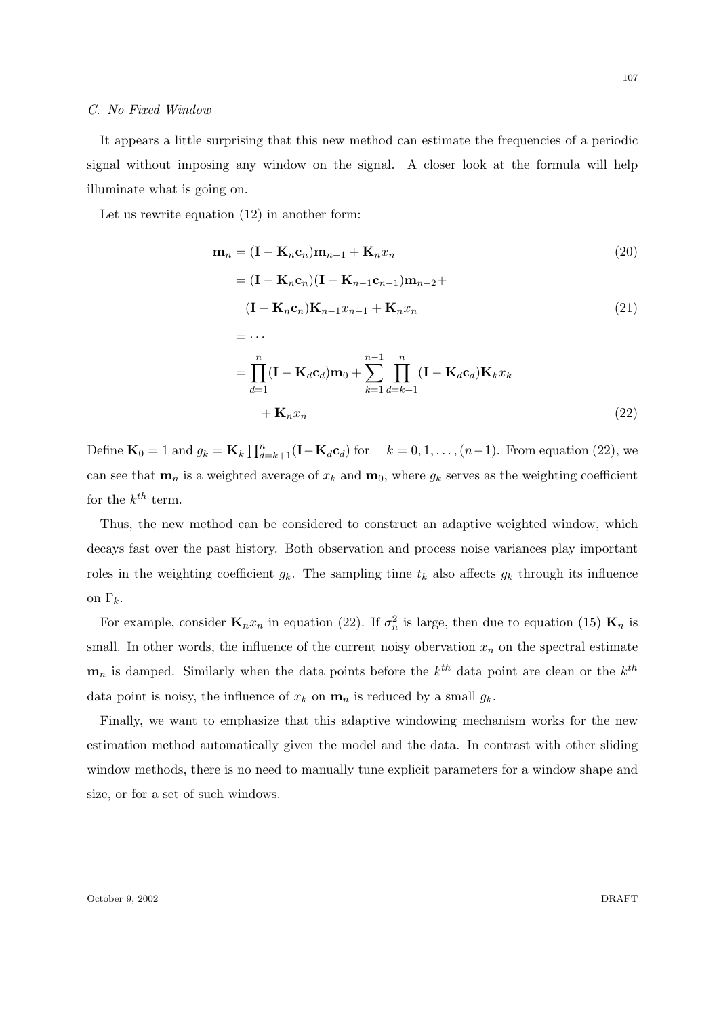#### C. No Fixed Window

107

It appears a little surprising that this new method can estimate the frequencies of a periodic signal without imposing any window on the signal. A closer look at the formula will help illuminate what is going on.

Let us rewrite equation (12) in another form:

$$
\mathbf{m}_n = (\mathbf{I} - \mathbf{K}_n \mathbf{c}_n) \mathbf{m}_{n-1} + \mathbf{K}_n x_n
$$
\n
$$
= (\mathbf{I} - \mathbf{K}_n \mathbf{c}_n) (\mathbf{I} - \mathbf{K}_{n-1} \mathbf{c}_{n-1}) \mathbf{m}_{n-2} +
$$
\n
$$
(\mathbf{I} - \mathbf{K}_n \mathbf{c}_n) \mathbf{K}_{n-1} x_{n-1} + \mathbf{K}_n x_n
$$
\n
$$
= \cdots
$$
\n
$$
= \prod_{d=1}^n (\mathbf{I} - \mathbf{K}_d \mathbf{c}_d) \mathbf{m}_0 + \sum_{k=1}^{n-1} \prod_{d=k+1}^n (\mathbf{I} - \mathbf{K}_d \mathbf{c}_d) \mathbf{K}_k x_k
$$
\n
$$
+ \mathbf{K}_n x_n
$$
\n(22)

Define  $\mathbf{K}_0 = 1$  and  $g_k = \mathbf{K}_k \prod_{d=k+1}^n (\mathbf{I} - \mathbf{K}_d \mathbf{c}_d)$  for  $k = 0, 1, ..., (n-1)$ . From equation (22), we can see that  $\mathbf{m}_n$  is a weighted average of  $x_k$  and  $\mathbf{m}_0$ , where  $g_k$  serves as the weighting coefficient for the  $k^{th}$  term.

Thus, the new method can be considered to construct an adaptive weighted window, which decays fast over the past history. Both observation and process noise variances play important roles in the weighting coefficient  $g_k$ . The sampling time  $t_k$  also affects  $g_k$  through its influence on  $\Gamma_k$ .

For example, consider  $\mathbf{K}_n x_n$  in equation (22). If  $\sigma_n^2$  is large, then due to equation (15)  $\mathbf{K}_n$  is small. In other words, the influence of the current noisy obervation  $x_n$  on the spectral estimate  $\mathbf{m}_n$  is damped. Similarly when the data points before the  $k^{th}$  data point are clean or the  $k^{th}$ data point is noisy, the influence of  $x_k$  on  $\mathbf{m}_n$  is reduced by a small  $g_k$ .

Finally, we want to emphasize that this adaptive windowing mechanism works for the new estimation method automatically given the model and the data. In contrast with other sliding window methods, there is no need to manually tune explicit parameters for a window shape and size, or for a set of such windows.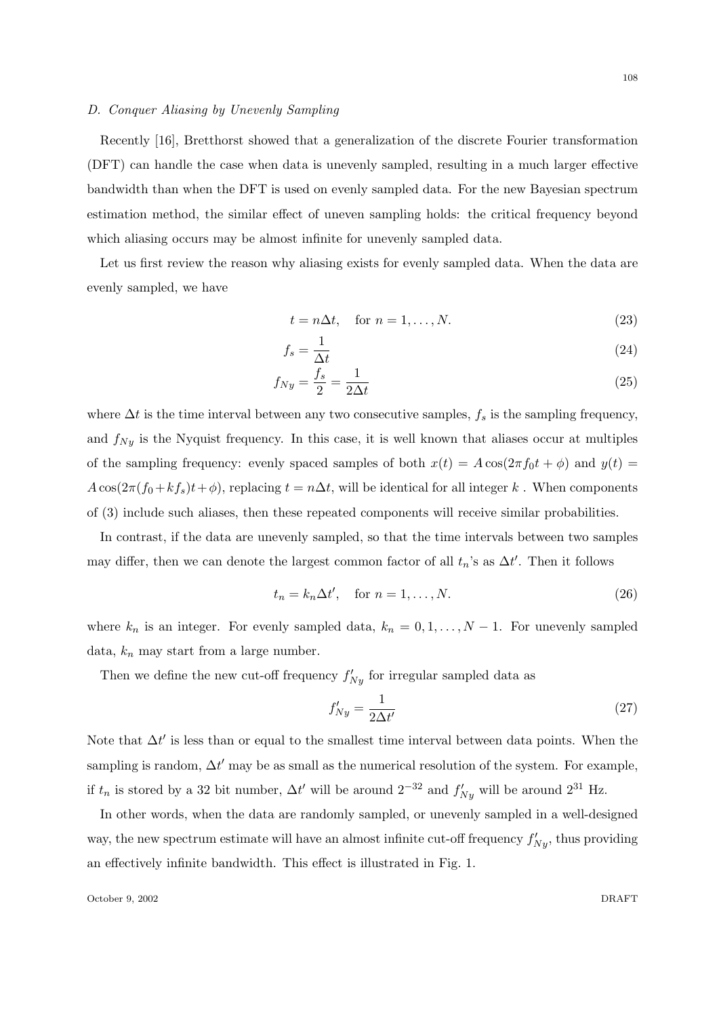## D. Conquer Aliasing by Unevenly Sampling

Recently [16], Bretthorst showed that a generalization of the discrete Fourier transformation (DFT) can handle the case when data is unevenly sampled, resulting in a much larger effective bandwidth than when the DFT is used on evenly sampled data. For the new Bayesian spectrum estimation method, the similar effect of uneven sampling holds: the critical frequency beyond which aliasing occurs may be almost infinite for unevenly sampled data.

Let us first review the reason why aliasing exists for evenly sampled data. When the data are evenly sampled, we have

$$
t = n\Delta t, \quad \text{for } n = 1, \dots, N. \tag{23}
$$

$$
f_s = \frac{1}{\Delta t} \tag{24}
$$

$$
f_{Ny} = \frac{f_s}{2} = \frac{1}{2\Delta t} \tag{25}
$$

where  $\Delta t$  is the time interval between any two consecutive samples,  $f_s$  is the sampling frequency, and  $f_{Ny}$  is the Nyquist frequency. In this case, it is well known that aliases occur at multiples of the sampling frequency: evenly spaced samples of both  $x(t) = A \cos(2\pi f_0 t + \phi)$  and  $y(t) =$  $A \cos(2\pi (f_0 + kf_s)t + \phi)$ , replacing  $t = n\Delta t$ , will be identical for all integer k. When components of (3) include such aliases, then these repeated components will receive similar probabilities.

In contrast, if the data are unevenly sampled, so that the time intervals between two samples may differ, then we can denote the largest common factor of all  $t_n$ 's as  $\Delta t'$ . Then it follows

$$
t_n = k_n \Delta t', \quad \text{for } n = 1, \dots, N. \tag{26}
$$

where  $k_n$  is an integer. For evenly sampled data,  $k_n = 0, 1, ..., N - 1$ . For unevenly sampled data,  $k_n$  may start from a large number.

Then we define the new cut-off frequency  $f'_{Ny}$  for irregular sampled data as

$$
f'_{Ny} = \frac{1}{2\Delta t'}\tag{27}
$$

Note that  $\Delta t'$  is less than or equal to the smallest time interval between data points. When the sampling is random,  $\Delta t'$  may be as small as the numerical resolution of the system. For example, if  $t_n$  is stored by a 32 bit number,  $\Delta t'$  will be around  $2^{-32}$  and  $f'_{Ny}$  will be around  $2^{31}$  Hz.

In other words, when the data are randomly sampled, or unevenly sampled in a well-designed way, the new spectrum estimate will have an almost infinite cut-off frequency  $f'_{Ny}$ , thus providing an effectively infinite bandwidth. This effect is illustrated in Fig. 1.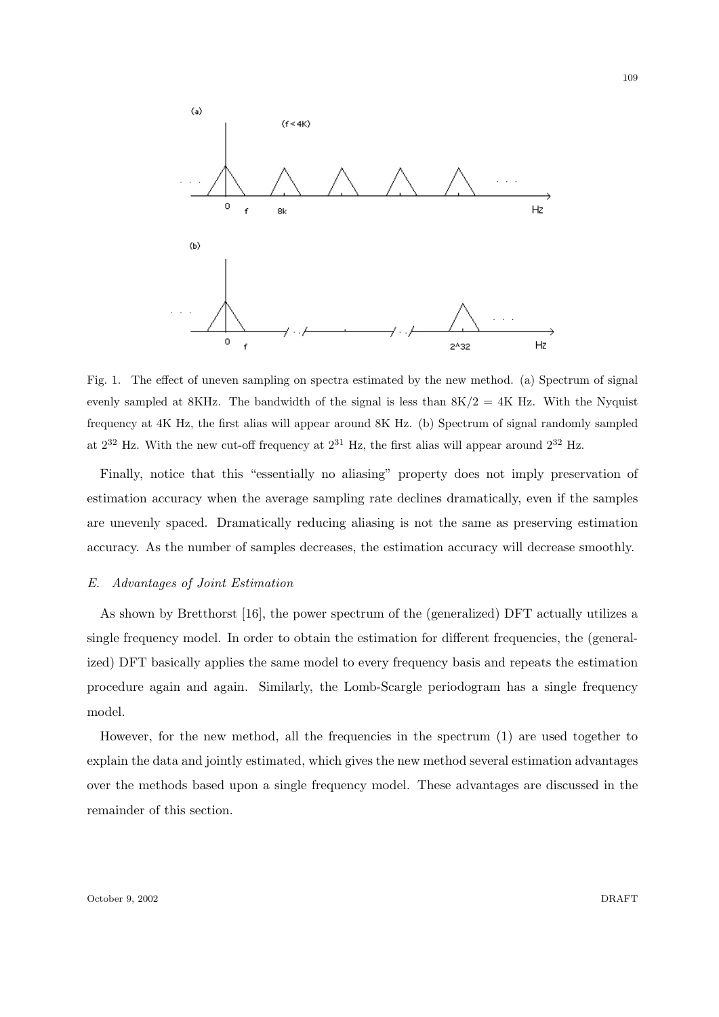

Fig. 1. The effect of uneven sampling on spectra estimated by the new method. (a) Spectrum of signal evenly sampled at 8KHz. The bandwidth of the signal is less than  $8K/2 = 4K$  Hz. With the Nyquist frequency at 4K Hz, the first alias will appear around 8K Hz. (b) Spectrum of signal randomly sampled at  $2^{32}$  Hz. With the new cut-off frequency at  $2^{31}$  Hz, the first alias will appear around  $2^{32}$  Hz.

Finally, notice that this "essentially no aliasing" property does not imply preservation of estimation accuracy when the average sampling rate declines dramatically, even if the samples are unevenly spaced. Dramatically reducing aliasing is not the same as preserving estimation accuracy. As the number of samples decreases, the estimation accuracy will decrease smoothly.

## E. Advantages of Joint Estimation

As shown by Bretthorst [16], the power spectrum of the (generalized) DFT actually utilizes a single frequency model. In order to obtain the estimation for different frequencies, the (generalized) DFT basically applies the same model to every frequency basis and repeats the estimation procedure again and again. Similarly, the Lomb-Scargle periodogram has a single frequency model.

However, for the new method, all the frequencies in the spectrum (1) are used together to explain the data and jointly estimated, which gives the new method several estimation advantages over the methods based upon a single frequency model. These advantages are discussed in the remainder of this section.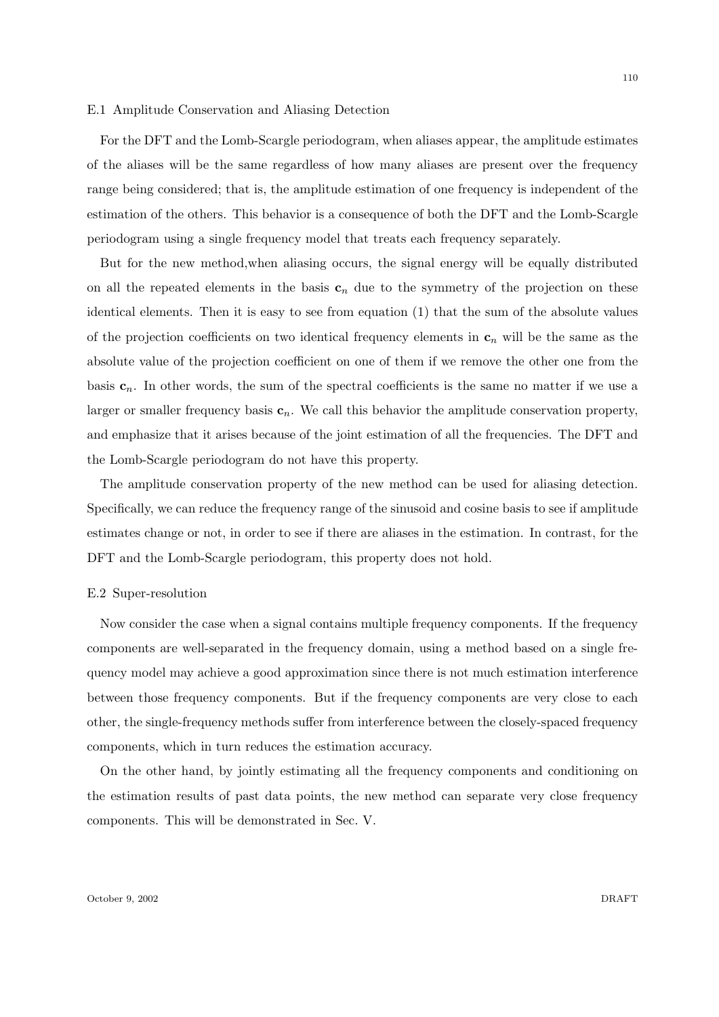#### E.1 Amplitude Conservation and Aliasing Detection

For the DFT and the Lomb-Scargle periodogram, when aliases appear, the amplitude estimates of the aliases will be the same regardless of how many aliases are present over the frequency range being considered; that is, the amplitude estimation of one frequency is independent of the estimation of the others. This behavior is a consequence of both the DFT and the Lomb-Scargle periodogram using a single frequency model that treats each frequency separately.

But for the new method,when aliasing occurs, the signal energy will be equally distributed on all the repeated elements in the basis  $c_n$  due to the symmetry of the projection on these identical elements. Then it is easy to see from equation (1) that the sum of the absolute values of the projection coefficients on two identical frequency elements in  $c_n$  will be the same as the absolute value of the projection coefficient on one of them if we remove the other one from the basis  $c_n$ . In other words, the sum of the spectral coefficients is the same no matter if we use a larger or smaller frequency basis  $c_n$ . We call this behavior the amplitude conservation property, and emphasize that it arises because of the joint estimation of all the frequencies. The DFT and the Lomb-Scargle periodogram do not have this property.

The amplitude conservation property of the new method can be used for aliasing detection. Specifically, we can reduce the frequency range of the sinusoid and cosine basis to see if amplitude estimates change or not, in order to see if there are aliases in the estimation. In contrast, for the DFT and the Lomb-Scargle periodogram, this property does not hold.

## E.2 Super-resolution

Now consider the case when a signal contains multiple frequency components. If the frequency components are well-separated in the frequency domain, using a method based on a single frequency model may achieve a good approximation since there is not much estimation interference between those frequency components. But if the frequency components are very close to each other, the single-frequency methods suffer from interference between the closely-spaced frequency components, which in turn reduces the estimation accuracy.

On the other hand, by jointly estimating all the frequency components and conditioning on the estimation results of past data points, the new method can separate very close frequency components. This will be demonstrated in Sec. V.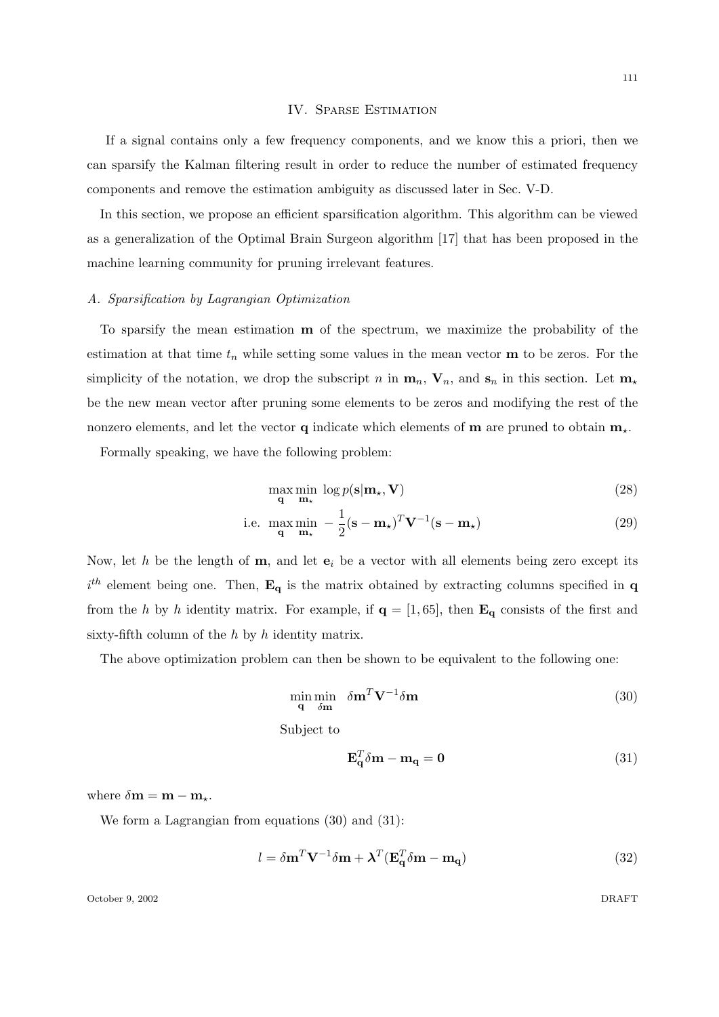#### IV. Sparse Estimation

If a signal contains only a few frequency components, and we know this a priori, then we can sparsify the Kalman filtering result in order to reduce the number of estimated frequency components and remove the estimation ambiguity as discussed later in Sec. V-D.

In this section, we propose an efficient sparsification algorithm. This algorithm can be viewed as a generalization of the Optimal Brain Surgeon algorithm [17] that has been proposed in the machine learning community for pruning irrelevant features.

## A. Sparsification by Lagrangian Optimization

To sparsify the mean estimation m of the spectrum, we maximize the probability of the estimation at that time  $t_n$  while setting some values in the mean vector **m** to be zeros. For the simplicity of the notation, we drop the subscript n in  $\mathbf{m}_n$ ,  $\mathbf{V}_n$ , and  $\mathbf{s}_n$  in this section. Let  $\mathbf{m}_\star$ be the new mean vector after pruning some elements to be zeros and modifying the rest of the nonzero elements, and let the vector **q** indicate which elements of **m** are pruned to obtain  $m_{\star}$ .

Formally speaking, we have the following problem:

$$
\max_{\mathbf{q}} \min_{\mathbf{m}_{\star}} \log p(\mathbf{s}|\mathbf{m}_{\star}, \mathbf{V})
$$
\n(28)

i.e. 
$$
\max_{\mathbf{q}} \min_{\mathbf{m}_{\star}} -\frac{1}{2} (\mathbf{s} - \mathbf{m}_{\star})^T \mathbf{V}^{-1} (\mathbf{s} - \mathbf{m}_{\star})
$$
(29)

Now, let h be the length of  $m$ , and let  $e_i$  be a vector with all elements being zero except its  $i<sup>th</sup>$  element being one. Then,  $\mathbf{E}_{q}$  is the matrix obtained by extracting columns specified in q from the h by h identity matrix. For example, if  $q = [1, 65]$ , then  $\mathbf{E}_q$  consists of the first and sixty-fifth column of the  $h$  by  $h$  identity matrix.

The above optimization problem can then be shown to be equivalent to the following one:

$$
\min_{\mathbf{q}} \min_{\delta \mathbf{m}} \delta \mathbf{m}^T \mathbf{V}^{-1} \delta \mathbf{m} \tag{30}
$$

Subject to

$$
\mathbf{E}_\mathbf{q}^T \delta \mathbf{m} - \mathbf{m}_\mathbf{q} = \mathbf{0} \tag{31}
$$

where  $\delta \mathbf{m} = \mathbf{m} - \mathbf{m}_*$ .

We form a Lagrangian from equations (30) and (31):

$$
l = \delta \mathbf{m}^T \mathbf{V}^{-1} \delta \mathbf{m} + \boldsymbol{\lambda}^T (\mathbf{E}_\mathbf{q}^T \delta \mathbf{m} - \mathbf{m}_\mathbf{q}) \tag{32}
$$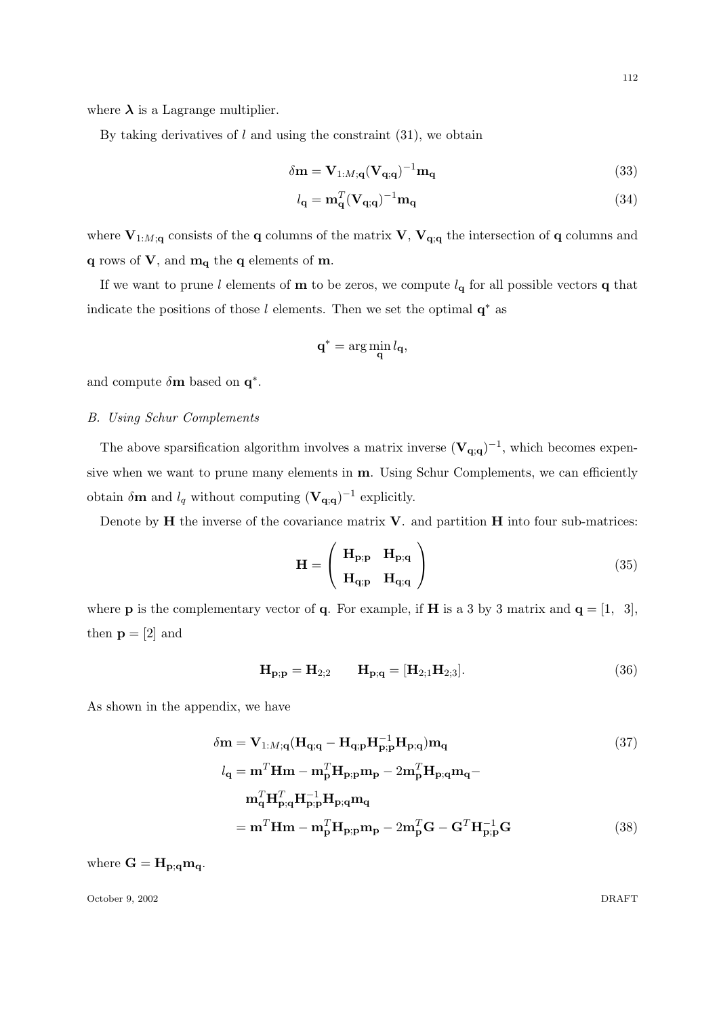where  $\lambda$  is a Lagrange multiplier.

By taking derivatives of  $l$  and using the constraint  $(31)$ , we obtain

$$
\delta \mathbf{m} = \mathbf{V}_{1:M;\mathbf{q}} (\mathbf{V}_{\mathbf{q};\mathbf{q}})^{-1} \mathbf{m}_{\mathbf{q}}
$$
\n(33)

$$
l_{\mathbf{q}} = \mathbf{m}_{\mathbf{q}}^{T} (\mathbf{V}_{\mathbf{q};\mathbf{q}})^{-1} \mathbf{m}_{\mathbf{q}}
$$
\n(34)

where  $V_{1:M;q}$  consists of the q columns of the matrix V,  $V_{q;q}$  the intersection of q columns and  $q$  rows of  $V$ , and  $m_q$  the  $q$  elements of  $m$ .

If we want to prune l elements of **m** to be zeros, we compute  $l_q$  for all possible vectors **q** that indicate the positions of those l elements. Then we set the optimal  $q^*$  as

$$
\mathbf{q}^* = \arg\min_{\mathbf{q}} l_{\mathbf{q}},
$$

and compute  $\delta$ **m** based on  $\mathbf{q}^*$ .

## B. Using Schur Complements

The above sparsification algorithm involves a matrix inverse  $(V_{q;q})^{-1}$ , which becomes expensive when we want to prune many elements in m. Using Schur Complements, we can efficiently obtain  $\delta \mathbf{m}$  and  $l_q$  without computing  $(\mathbf{V}_{\mathbf{q};q})^{-1}$  explicitly.

Denote by  $H$  the inverse of the covariance matrix  $V$ . and partition  $H$  into four sub-matrices:

$$
\mathbf{H} = \begin{pmatrix} \mathbf{H}_{\mathbf{p};\mathbf{p}} & \mathbf{H}_{\mathbf{p};\mathbf{q}} \\ \mathbf{H}_{\mathbf{q};\mathbf{p}} & \mathbf{H}_{\mathbf{q};\mathbf{q}} \end{pmatrix}
$$
 (35)

where **p** is the complementary vector of **q**. For example, if **H** is a 3 by 3 matrix and  $\mathbf{q} = \begin{bmatrix} 1, 3 \end{bmatrix}$ , then  $p = [2]$  and

$$
H_{p;p} = H_{2;2} \qquad H_{p;q} = [H_{2;1}H_{2;3}]. \qquad (36)
$$

As shown in the appendix, we have

$$
\delta \mathbf{m} = \mathbf{V}_{1:M;\mathbf{q}} (\mathbf{H}_{\mathbf{q};\mathbf{q}} - \mathbf{H}_{\mathbf{q};\mathbf{p}} \mathbf{H}_{\mathbf{p};\mathbf{p}}^{-1} \mathbf{H}_{\mathbf{p};\mathbf{q}}) \mathbf{m}_{\mathbf{q}}
$$
(37)

$$
l_{\mathbf{q}} = \mathbf{m}^{T} \mathbf{H} \mathbf{m} - \mathbf{m}_{\mathbf{p}}^{T} \mathbf{H}_{\mathbf{p};\mathbf{p}} \mathbf{m}_{\mathbf{p}} - 2 \mathbf{m}_{\mathbf{p}}^{T} \mathbf{H}_{\mathbf{p};\mathbf{q}} \mathbf{m}_{\mathbf{q}} -
$$
  

$$
\mathbf{m}_{\mathbf{q}}^{T} \mathbf{H}_{\mathbf{p};\mathbf{q}}^{T} \mathbf{H}_{\mathbf{p};\mathbf{p}}^{-1} \mathbf{H}_{\mathbf{p};\mathbf{q}} \mathbf{m}_{\mathbf{q}}
$$
  

$$
= \mathbf{m}^{T} \mathbf{H} \mathbf{m} - \mathbf{m}_{\mathbf{p}}^{T} \mathbf{H}_{\mathbf{p};\mathbf{p}} \mathbf{m}_{\mathbf{p}} - 2 \mathbf{m}_{\mathbf{p}}^{T} \mathbf{G} - \mathbf{G}^{T} \mathbf{H}_{\mathbf{p};\mathbf{p}}^{-1} \mathbf{G}
$$
(38)

where  $G = H_{p;q} m_q$ .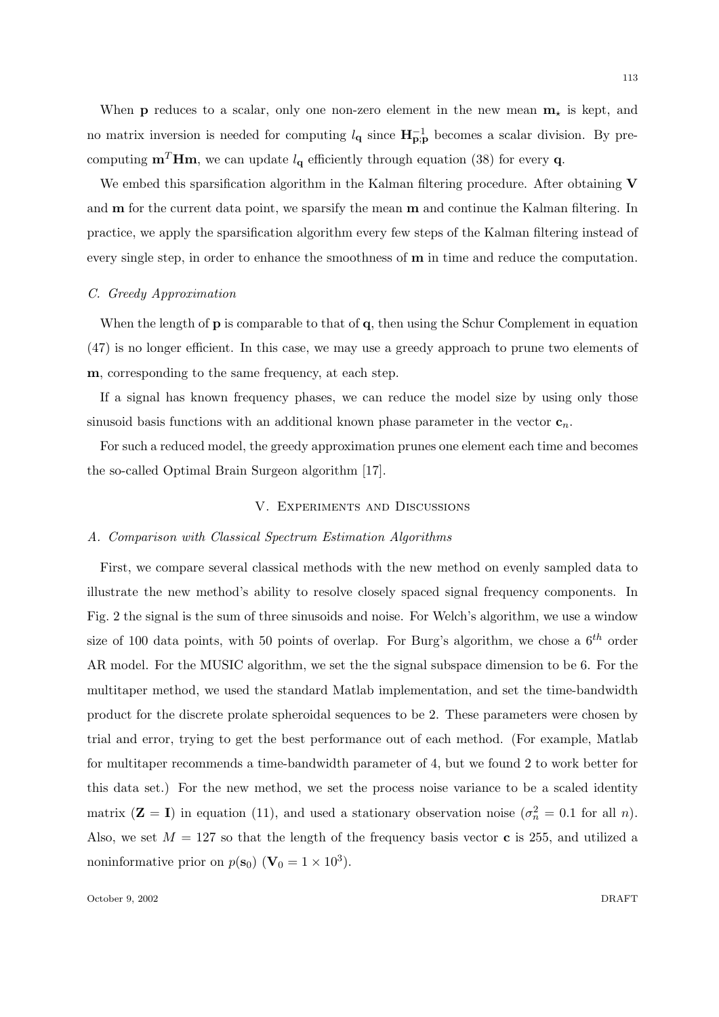When **p** reduces to a scalar, only one non-zero element in the new mean  $\mathbf{m}_{\star}$  is kept, and no matrix inversion is needed for computing  $l_{q}$  since  $H^{-1}_{p;p}$  becomes a scalar division. By pre-

We embed this sparsification algorithm in the Kalman filtering procedure. After obtaining V and **m** for the current data point, we sparsify the mean **m** and continue the Kalman filtering. In practice, we apply the sparsification algorithm every few steps of the Kalman filtering instead of every single step, in order to enhance the smoothness of  **in time and reduce the computation.** 

computing  $\mathbf{m}^T \mathbf{H} \mathbf{m}$ , we can update  $l_\mathbf{q}$  efficiently through equation (38) for every **q**.

#### C. Greedy Approximation

When the length of  $\bf{p}$  is comparable to that of  $\bf{q}$ , then using the Schur Complement in equation (47) is no longer efficient. In this case, we may use a greedy approach to prune two elements of m, corresponding to the same frequency, at each step.

If a signal has known frequency phases, we can reduce the model size by using only those sinusoid basis functions with an additional known phase parameter in the vector  $\mathbf{c}_n$ .

For such a reduced model, the greedy approximation prunes one element each time and becomes the so-called Optimal Brain Surgeon algorithm [17].

## V. Experiments and Discussions

#### A. Comparison with Classical Spectrum Estimation Algorithms

First, we compare several classical methods with the new method on evenly sampled data to illustrate the new method's ability to resolve closely spaced signal frequency components. In Fig. 2 the signal is the sum of three sinusoids and noise. For Welch's algorithm, we use a window size of 100 data points, with 50 points of overlap. For Burg's algorithm, we chose a  $6^{th}$  order AR model. For the MUSIC algorithm, we set the the signal subspace dimension to be 6. For the multitaper method, we used the standard Matlab implementation, and set the time-bandwidth product for the discrete prolate spheroidal sequences to be 2. These parameters were chosen by trial and error, trying to get the best performance out of each method. (For example, Matlab for multitaper recommends a time-bandwidth parameter of 4, but we found 2 to work better for this data set.) For the new method, we set the process noise variance to be a scaled identity matrix  $(\mathbf{Z} = \mathbf{I})$  in equation (11), and used a stationary observation noise  $(\sigma_n^2 = 0.1$  for all n). Also, we set  $M = 127$  so that the length of the frequency basis vector c is 255, and utilized a noninformative prior on  $p(\mathbf{s}_0)$  ( $\mathbf{V}_0 = 1 \times 10^3$ ).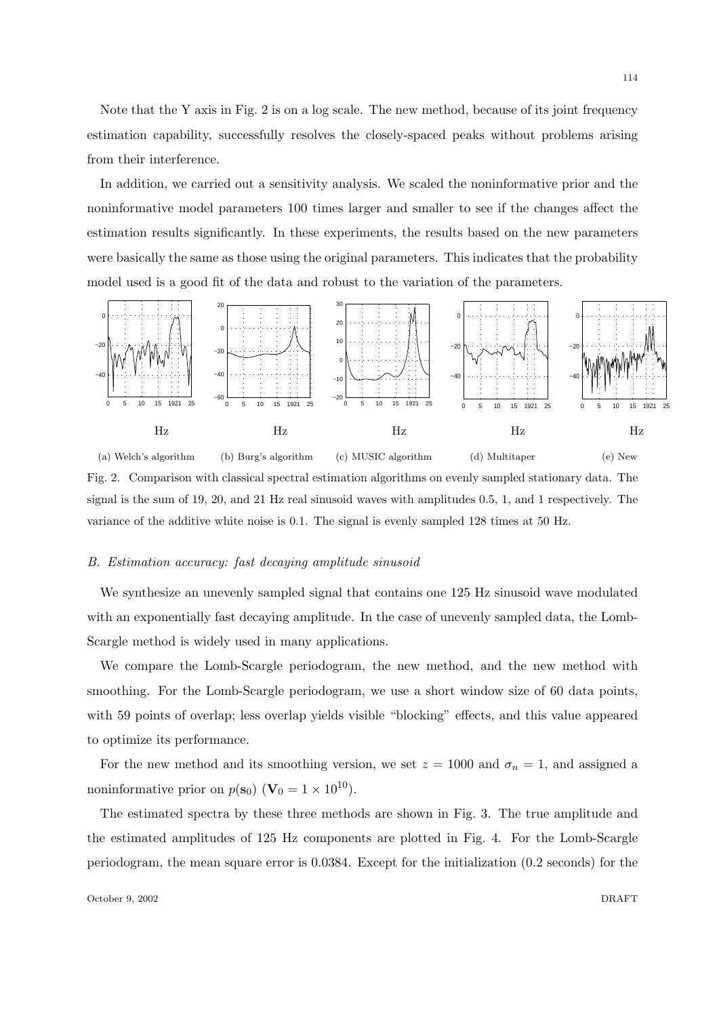Note that the Y axis in Fig. 2 is on a log scale. The new method, because of its joint frequency estimation capability, successfully resolves the closely-spaced peaks without problems arising from their interference.

In addition, we carried out a sensitivity analysis. We scaled the noninformative prior and the noninformative model parameters 100 times larger and smaller to see if the changes affect the estimation results significantly. In these experiments, the results based on the new parameters were basically the same as those using the original parameters. This indicates that the probability model used is a good fit of the data and robust to the variation of the parameters.



Fig. 2. Comparison with classical spectral estimation algorithms on evenly sampled stationary data. The signal is the sum of 19, 20, and 21 Hz real sinusoid waves with amplitudes 0.5, 1, and 1 respectively. The variance of the additive white noise is 0.1. The signal is evenly sampled 128 times at 50 Hz.

## B. Estimation accuracy: fast decaying amplitude sinusoid

We synthesize an unevenly sampled signal that contains one 125 Hz sinusoid wave modulated with an exponentially fast decaying amplitude. In the case of unevenly sampled data, the Lomb-Scargle method is widely used in many applications.

We compare the Lomb-Scargle periodogram, the new method, and the new method with smoothing. For the Lomb-Scargle periodogram, we use a short window size of 60 data points, with 59 points of overlap; less overlap yields visible "blocking" effects, and this value appeared to optimize its performance.

For the new method and its smoothing version, we set  $z = 1000$  and  $\sigma_n = 1$ , and assigned a noninformative prior on  $p(\mathbf{s}_0)$  ( $\mathbf{V}_0 = 1 \times 10^{10}$ ).

The estimated spectra by these three methods are shown in Fig. 3. The true amplitude and the estimated amplitudes of 125 Hz components are plotted in Fig. 4. For the Lomb-Scargle periodogram, the mean square error is 0.0384. Except for the initialization (0.2 seconds) for the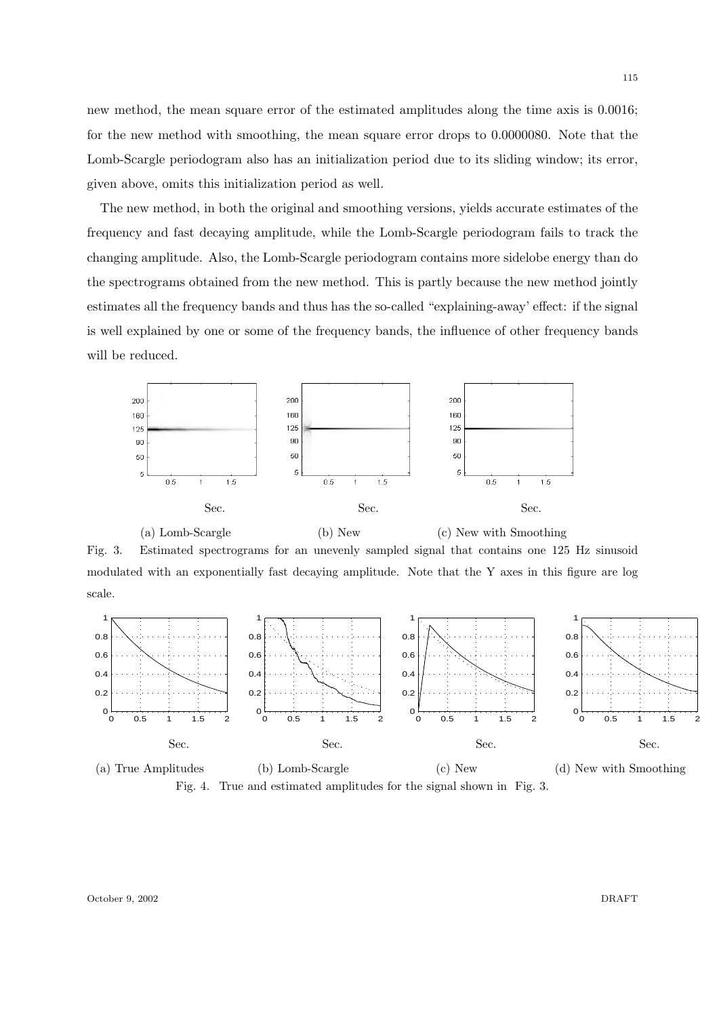new method, the mean square error of the estimated amplitudes along the time axis is 0.0016; for the new method with smoothing, the mean square error drops to 0.0000080. Note that the Lomb-Scargle periodogram also has an initialization period due to its sliding window; its error, given above, omits this initialization period as well.

The new method, in both the original and smoothing versions, yields accurate estimates of the frequency and fast decaying amplitude, while the Lomb-Scargle periodogram fails to track the changing amplitude. Also, the Lomb-Scargle periodogram contains more sidelobe energy than do the spectrograms obtained from the new method. This is partly because the new method jointly estimates all the frequency bands and thus has the so-called "explaining-away' effect: if the signal is well explained by one or some of the frequency bands, the influence of other frequency bands will be reduced.



(a) Lomb-Scargle (b) New (c) New with Smoothing Fig. 3. Estimated spectrograms for an unevenly sampled signal that contains one 125 Hz sinusoid modulated with an exponentially fast decaying amplitude. Note that the Y axes in this figure are log scale.



Fig. 4. True and estimated amplitudes for the signal shown in Fig. 3.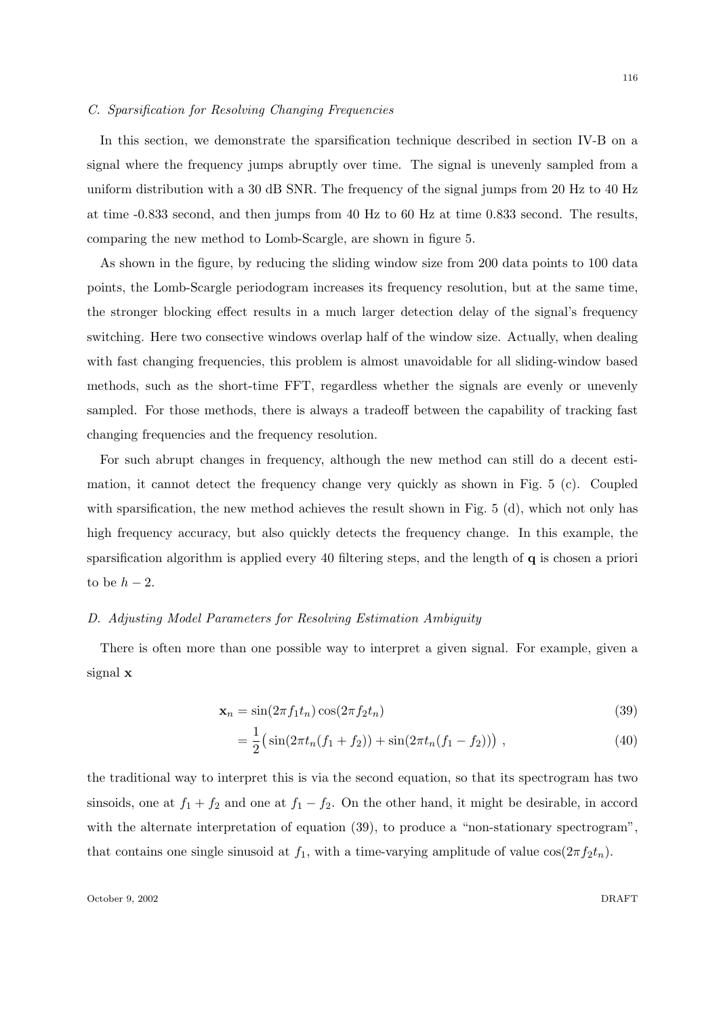#### C. Sparsification for Resolving Changing Frequencies

In this section, we demonstrate the sparsification technique described in section IV-B on a signal where the frequency jumps abruptly over time. The signal is unevenly sampled from a uniform distribution with a 30 dB SNR. The frequency of the signal jumps from 20 Hz to 40 Hz at time -0.833 second, and then jumps from 40 Hz to 60 Hz at time 0.833 second. The results, comparing the new method to Lomb-Scargle, are shown in figure 5.

As shown in the figure, by reducing the sliding window size from 200 data points to 100 data points, the Lomb-Scargle periodogram increases its frequency resolution, but at the same time, the stronger blocking effect results in a much larger detection delay of the signal's frequency switching. Here two consective windows overlap half of the window size. Actually, when dealing with fast changing frequencies, this problem is almost unavoidable for all sliding-window based methods, such as the short-time FFT, regardless whether the signals are evenly or unevenly sampled. For those methods, there is always a tradeoff between the capability of tracking fast changing frequencies and the frequency resolution.

For such abrupt changes in frequency, although the new method can still do a decent estimation, it cannot detect the frequency change very quickly as shown in Fig. 5 (c). Coupled with sparsification, the new method achieves the result shown in Fig. 5 (d), which not only has high frequency accuracy, but also quickly detects the frequency change. In this example, the sparsification algorithm is applied every 40 filtering steps, and the length of q is chosen a priori to be  $h-2$ .

# D. Adjusting Model Parameters for Resolving Estimation Ambiguity

There is often more than one possible way to interpret a given signal. For example, given a signal x

$$
\mathbf{x}_n = \sin(2\pi f_1 t_n) \cos(2\pi f_2 t_n) \tag{39}
$$

$$
= \frac{1}{2} \left( \sin(2\pi t_n(f_1 + f_2)) + \sin(2\pi t_n(f_1 - f_2)) \right) , \qquad (40)
$$

the traditional way to interpret this is via the second equation, so that its spectrogram has two sinsoids, one at  $f_1 + f_2$  and one at  $f_1 - f_2$ . On the other hand, it might be desirable, in accord with the alternate interpretation of equation (39), to produce a "non-stationary spectrogram", that contains one single sinusoid at  $f_1$ , with a time-varying amplitude of value  $\cos(2\pi f_2 t_n)$ .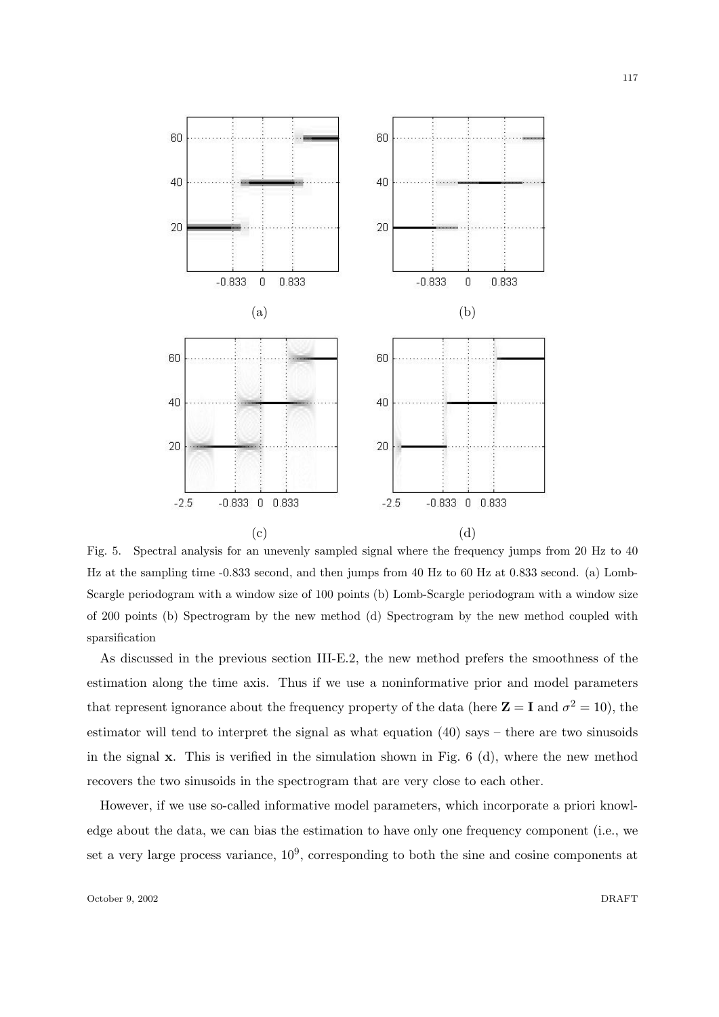

Fig. 5. Spectral analysis for an unevenly sampled signal where the frequency jumps from 20 Hz to 40 Hz at the sampling time -0.833 second, and then jumps from 40 Hz to 60 Hz at 0.833 second. (a) Lomb-Scargle periodogram with a window size of 100 points (b) Lomb-Scargle periodogram with a window size of 200 points (b) Spectrogram by the new method (d) Spectrogram by the new method coupled with sparsification

As discussed in the previous section III-E.2, the new method prefers the smoothness of the estimation along the time axis. Thus if we use a noninformative prior and model parameters that represent ignorance about the frequency property of the data (here  $\mathbf{Z} = \mathbf{I}$  and  $\sigma^2 = 10$ ), the estimator will tend to interpret the signal as what equation (40) says – there are two sinusoids in the signal  $\bf{x}$ . This is verified in the simulation shown in Fig. 6 (d), where the new method recovers the two sinusoids in the spectrogram that are very close to each other.

However, if we use so-called informative model parameters, which incorporate a priori knowledge about the data, we can bias the estimation to have only one frequency component (i.e., we set a very large process variance,  $10^9$ , corresponding to both the sine and cosine components at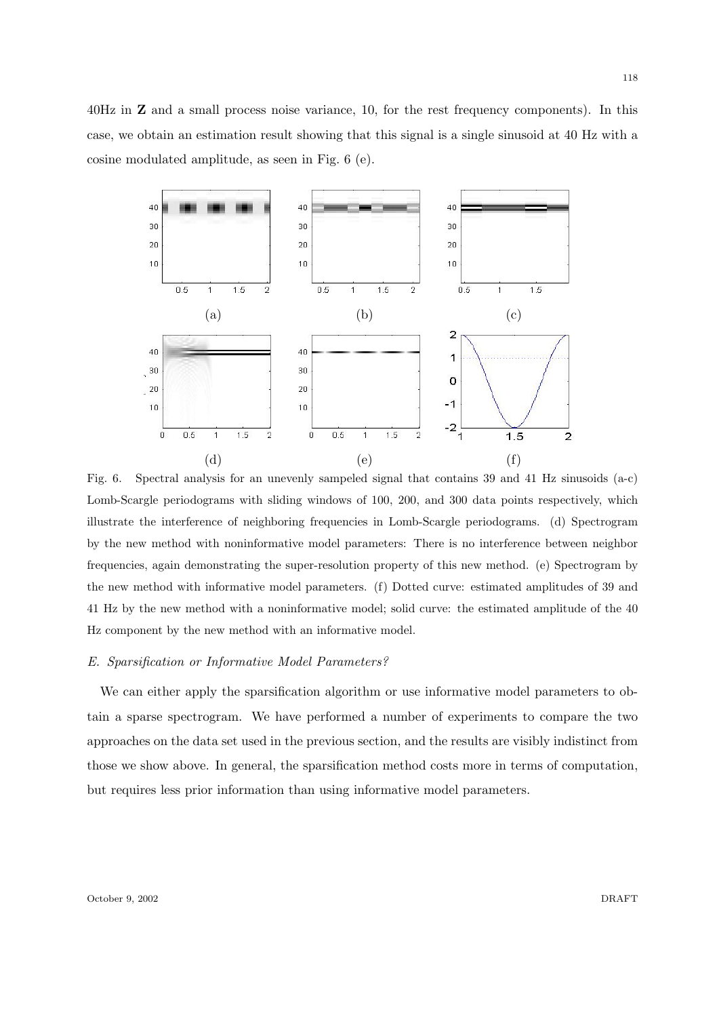40Hz in Z and a small process noise variance, 10, for the rest frequency components). In this case, we obtain an estimation result showing that this signal is a single sinusoid at 40 Hz with a cosine modulated amplitude, as seen in Fig. 6 (e).



Fig. 6. Spectral analysis for an unevenly sampeled signal that contains 39 and 41 Hz sinusoids (a-c) Lomb-Scargle periodograms with sliding windows of 100, 200, and 300 data points respectively, which illustrate the interference of neighboring frequencies in Lomb-Scargle periodograms. (d) Spectrogram by the new method with noninformative model parameters: There is no interference between neighbor frequencies, again demonstrating the super-resolution property of this new method. (e) Spectrogram by the new method with informative model parameters. (f) Dotted curve: estimated amplitudes of 39 and 41 Hz by the new method with a noninformative model; solid curve: the estimated amplitude of the 40 Hz component by the new method with an informative model.

## E. Sparsification or Informative Model Parameters?

We can either apply the sparsification algorithm or use informative model parameters to obtain a sparse spectrogram. We have performed a number of experiments to compare the two approaches on the data set used in the previous section, and the results are visibly indistinct from those we show above. In general, the sparsification method costs more in terms of computation, but requires less prior information than using informative model parameters.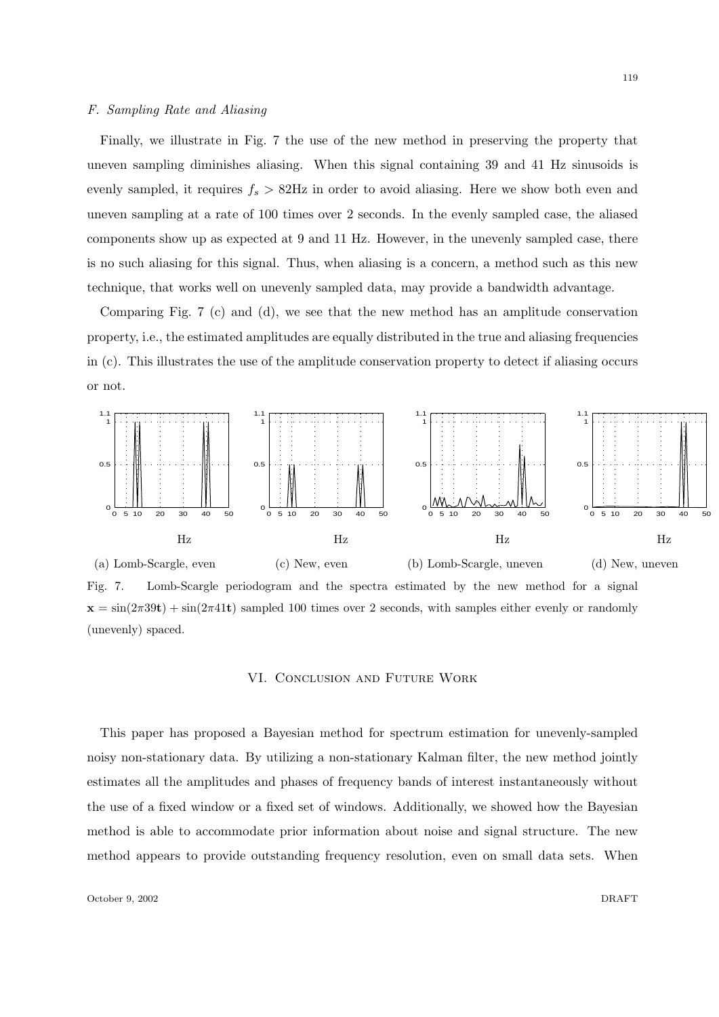## F. Sampling Rate and Aliasing

Finally, we illustrate in Fig. 7 the use of the new method in preserving the property that uneven sampling diminishes aliasing. When this signal containing 39 and 41 Hz sinusoids is evenly sampled, it requires  $f_s > 82$ Hz in order to avoid aliasing. Here we show both even and uneven sampling at a rate of 100 times over 2 seconds. In the evenly sampled case, the aliased components show up as expected at 9 and 11 Hz. However, in the unevenly sampled case, there is no such aliasing for this signal. Thus, when aliasing is a concern, a method such as this new technique, that works well on unevenly sampled data, may provide a bandwidth advantage.

Comparing Fig. 7 (c) and (d), we see that the new method has an amplitude conservation property, i.e., the estimated amplitudes are equally distributed in the true and aliasing frequencies in (c). This illustrates the use of the amplitude conservation property to detect if aliasing occurs or not.



Fig. 7. Lomb-Scargle periodogram and the spectra estimated by the new method for a signal  $x = \sin(2\pi 39t) + \sin(2\pi 41t)$  sampled 100 times over 2 seconds, with samples either evenly or randomly (unevenly) spaced.

## VI. Conclusion and Future Work

This paper has proposed a Bayesian method for spectrum estimation for unevenly-sampled noisy non-stationary data. By utilizing a non-stationary Kalman filter, the new method jointly estimates all the amplitudes and phases of frequency bands of interest instantaneously without the use of a fixed window or a fixed set of windows. Additionally, we showed how the Bayesian method is able to accommodate prior information about noise and signal structure. The new method appears to provide outstanding frequency resolution, even on small data sets. When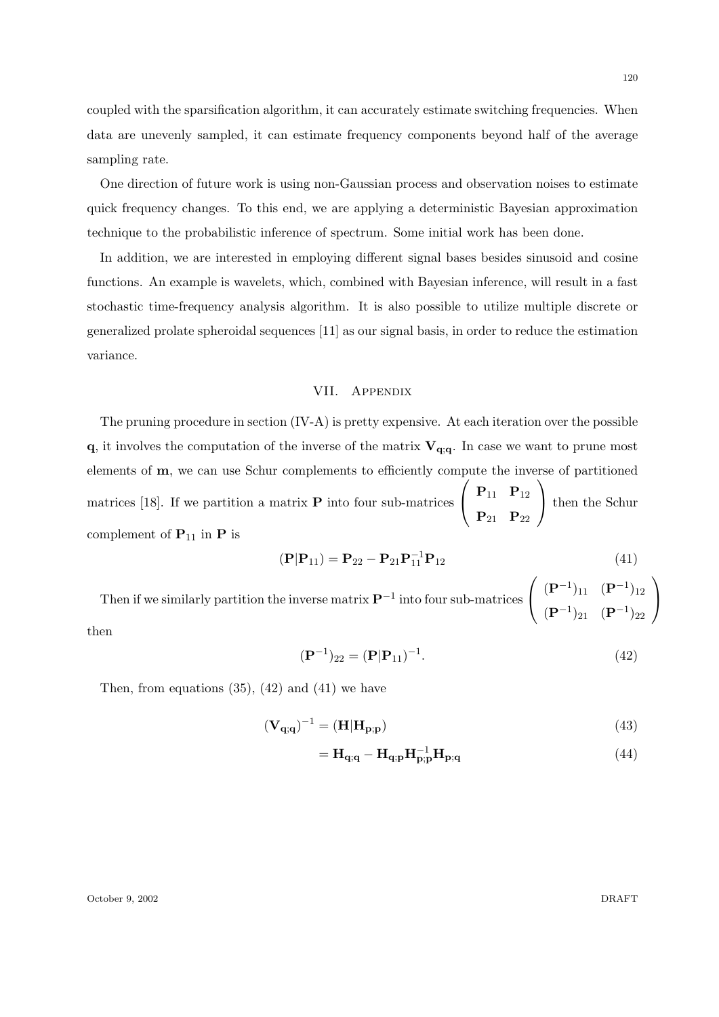coupled with the sparsification algorithm, it can accurately estimate switching frequencies. When data are unevenly sampled, it can estimate frequency components beyond half of the average sampling rate.

One direction of future work is using non-Gaussian process and observation noises to estimate quick frequency changes. To this end, we are applying a deterministic Bayesian approximation technique to the probabilistic inference of spectrum. Some initial work has been done.

In addition, we are interested in employing different signal bases besides sinusoid and cosine functions. An example is wavelets, which, combined with Bayesian inference, will result in a fast stochastic time-frequency analysis algorithm. It is also possible to utilize multiple discrete or generalized prolate spheroidal sequences [11] as our signal basis, in order to reduce the estimation variance.

# VII. Appendix

The pruning procedure in section  $(IV-A)$  is pretty expensive. At each iteration over the possible  $q$ , it involves the computation of the inverse of the matrix  $V_{q;q}$ . In case we want to prune most elements of m, we can use Schur complements to efficiently compute the inverse of partitioned matrices [18]. If we partition a matrix  $P$  into four sub-matrices  $\sqrt{ }$  $\overline{1}$  $P_{11}$   $P_{12}$  $P_{21}$   $P_{22}$  $\setminus$  then the Schur complement of  $P_{11}$  in P is

$$
(\mathbf{P}|\mathbf{P}_{11}) = \mathbf{P}_{22} - \mathbf{P}_{21}\mathbf{P}_{11}^{-1}\mathbf{P}_{12}
$$
\n(41)

Then if we similarly partition the inverse matrix  $\mathbf{P}^{-1}$  into four sub-matrices  $\sqrt{ }$  $\overline{1}$  $({\bf P}^{-1})_{11}$   $({\bf P}^{-1})_{12}$  $({\bf P}^{-1})_{21}$   $({\bf P}^{-1})_{22}$  $\setminus$  $\overline{1}$ then

$$
(\mathbf{P}^{-1})_{22} = (\mathbf{P}|\mathbf{P}_{11})^{-1}.
$$
\n(42)

Then, from equations  $(35)$ ,  $(42)$  and  $(41)$  we have

$$
(\mathbf{V}_{\mathbf{q};\mathbf{q}})^{-1} = (\mathbf{H}|\mathbf{H}_{\mathbf{p};\mathbf{p}}) \tag{43}
$$

$$
= \mathbf{H}_{q;q} - \mathbf{H}_{q;p} \mathbf{H}_{p;p}^{-1} \mathbf{H}_{p;q} \tag{44}
$$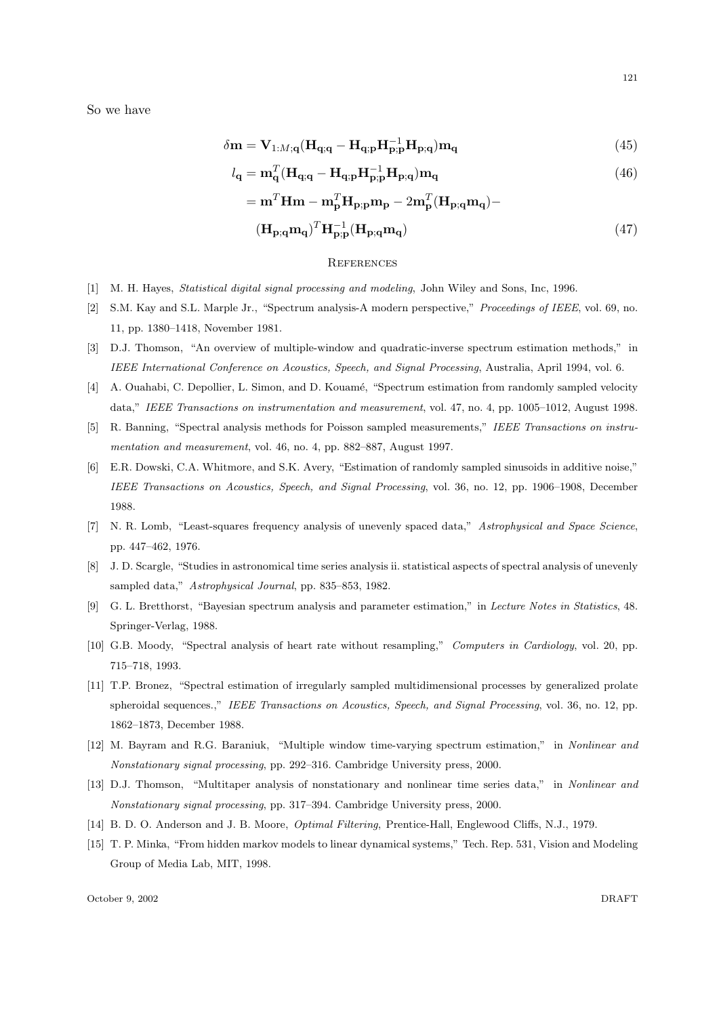So we have

$$
\delta \mathbf{m} = \mathbf{V}_{1:M;\mathbf{q}} (\mathbf{H}_{\mathbf{q};\mathbf{q}} - \mathbf{H}_{\mathbf{q};\mathbf{p}} \mathbf{H}_{\mathbf{p};\mathbf{p}}^{-1} \mathbf{H}_{\mathbf{p};\mathbf{q}}) \mathbf{m}_{\mathbf{q}}
$$
(45)

$$
l_{\mathbf{q}} = \mathbf{m}_{\mathbf{q}}^{T} (\mathbf{H}_{\mathbf{q};\mathbf{q}} - \mathbf{H}_{\mathbf{q};\mathbf{p}} \mathbf{H}_{\mathbf{p};\mathbf{p}}^{-1} \mathbf{H}_{\mathbf{p};\mathbf{q}}) \mathbf{m}_{\mathbf{q}}
$$
(46)

$$
= \mathbf{m}^T \mathbf{Hm} - \mathbf{m}^T_{\mathbf{p}} \mathbf{H}_{\mathbf{p};\mathbf{p}} \mathbf{m}_{\mathbf{p}} - 2 \mathbf{m}^T_{\mathbf{p}} (\mathbf{H}_{\mathbf{p};\mathbf{q}} \mathbf{m}_{\mathbf{q}}) -
$$

$$
(\mathbf{H}_{\mathbf{p};\mathbf{q}}\mathbf{m}_{\mathbf{q}})^{T}\mathbf{H}_{\mathbf{p};\mathbf{p}}^{-1}(\mathbf{H}_{\mathbf{p};\mathbf{q}}\mathbf{m}_{\mathbf{q}})
$$
(47)

#### **REFERENCES**

- [1] M. H. Hayes, *Statistical digital signal processing and modeling*, John Wiley and Sons, Inc, 1996.
- [2] S.M. Kay and S.L. Marple Jr., "Spectrum analysis-A modern perspective," Proceedings of IEEE, vol. 69, no. 11, pp. 1380–1418, November 1981.
- [3] D.J. Thomson, "An overview of multiple-window and quadratic-inverse spectrum estimation methods," in IEEE International Conference on Acoustics, Speech, and Signal Processing, Australia, April 1994, vol. 6.
- [4] A. Ouahabi, C. Depollier, L. Simon, and D. Kouamé, "Spectrum estimation from randomly sampled velocity data," IEEE Transactions on instrumentation and measurement, vol. 47, no. 4, pp. 1005–1012, August 1998.
- [5] R. Banning, "Spectral analysis methods for Poisson sampled measurements," IEEE Transactions on instrumentation and measurement, vol. 46, no. 4, pp. 882–887, August 1997.
- [6] E.R. Dowski, C.A. Whitmore, and S.K. Avery, "Estimation of randomly sampled sinusoids in additive noise," IEEE Transactions on Acoustics, Speech, and Signal Processing, vol. 36, no. 12, pp. 1906–1908, December 1988.
- [7] N. R. Lomb, "Least-squares frequency analysis of unevenly spaced data," Astrophysical and Space Science, pp. 447–462, 1976.
- [8] J. D. Scargle, "Studies in astronomical time series analysis ii. statistical aspects of spectral analysis of unevenly sampled data," Astrophysical Journal, pp. 835–853, 1982.
- [9] G. L. Bretthorst, "Bayesian spectrum analysis and parameter estimation," in Lecture Notes in Statistics, 48. Springer-Verlag, 1988.
- [10] G.B. Moody, "Spectral analysis of heart rate without resampling," Computers in Cardiology, vol. 20, pp. 715–718, 1993.
- [11] T.P. Bronez, "Spectral estimation of irregularly sampled multidimensional processes by generalized prolate spheroidal sequences.," IEEE Transactions on Acoustics, Speech, and Signal Processing, vol. 36, no. 12, pp. 1862–1873, December 1988.
- [12] M. Bayram and R.G. Baraniuk, "Multiple window time-varying spectrum estimation," in Nonlinear and Nonstationary signal processing, pp. 292–316. Cambridge University press, 2000.
- [13] D.J. Thomson, "Multitaper analysis of nonstationary and nonlinear time series data," in Nonlinear and Nonstationary signal processing, pp. 317–394. Cambridge University press, 2000.
- [14] B. D. O. Anderson and J. B. Moore, Optimal Filtering, Prentice-Hall, Englewood Cliffs, N.J., 1979.
- [15] T. P. Minka, "From hidden markov models to linear dynamical systems," Tech. Rep. 531, Vision and Modeling Group of Media Lab, MIT, 1998.